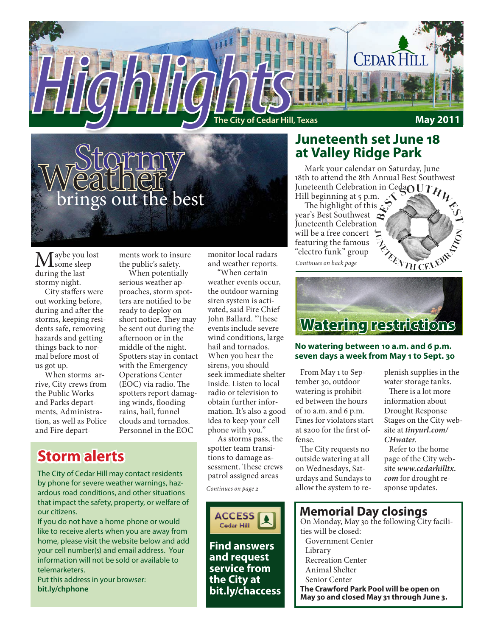



Maybe you lost some sleep during the last stormy night.

City staffers were out working before, during and after the storms, keeping residents safe, removing hazards and getting things back to normal before most of us got up.

When storms arrive, City crews from the Public Works and Parks departments, Administration, as well as Police and Fire departments work to insure the public's safety.

When potentially serious weather approaches, storm spotters are notified to be ready to deploy on short notice. They may be sent out during the afternoon or in the middle of the night. Spotters stay in contact with the Emergency Operations Center (EOC) via radio. The spotters report damaging winds, flooding rains, hail, funnel clouds and tornados. Personnel in the EOC

## **Storm alerts**

The City of Cedar Hill may contact residents by phone for severe weather warnings, hazardous road conditions, and other situations that impact the safety, property, or welfare of our citizens.

If you do not have a home phone or would like to receive alerts when you are away from home, please visit the website below and add your cell number(s) and email address. Your information will not be sold or available to telemarketers.

Put this address in your browser: **bit.ly/chphone**

monitor local radars and weather reports.

"When certain weather events occur, the outdoor warning siren system is activated, said Fire Chief John Ballard. "These events include severe wind conditions, large hail and tornados. When you hear the sirens, you should seek immediate shelter inside. Listen to local radio or television to obtain further information. It's also a good idea to keep your cell phone with you."

As storms pass, the spotter team transitions to damage assessment. These crews patrol assigned areas

*Continues on page 2*



**bit.ly/chaccess**

## **Juneteenth set June 18 at Valley Ridge Park**

Mark your calendar on Saturday, June 18th to attend the 8th Annual Best Southwest Juneteenth Celebration in Ceda $\overline{OUT}$ Hill beginning at 5 p.m.  $\sim$ 

The highlight of this  $\mathcal{L}$ year's Best Southwest Juneteenth Celebration will be a free concert featuring the famous "electro funk" group

*Continues on back page*



#### **No watering between 10 a.m. and 6 p.m. seven days a week from May 1 to Sept. 30**

From May 1 to September 30, outdoor watering is prohibited between the hours of 10 a.m. and 6 p.m. Fines for violators start at \$200 for the first offense.

The City requests no outside watering at all on Wednesdays, Saturdays and Sundays to allow the system to replenish supplies in the water storage tanks.

There is a lot more information about Drought Response Stages on the City website at *tinyurl.com/ CHwater*.

Refer to the home page of the City website *www.cedarhilltx. com* for drought response updates.

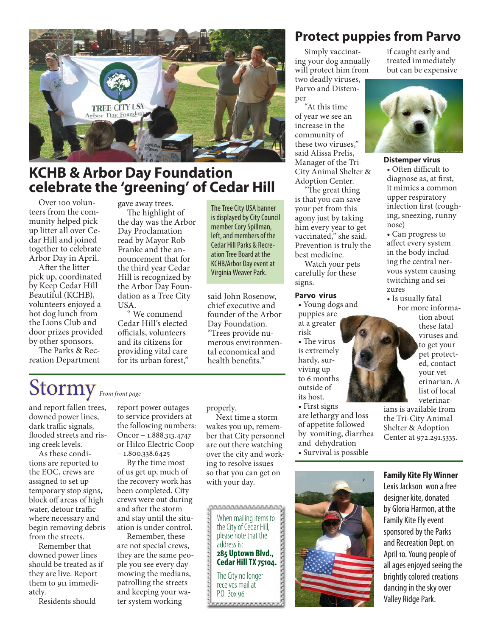

## **KCHB & Arbor Day Foundation celebrate the 'greening' of Cedar Hill**

Over 100 volunteers from the community helped pick up litter all over Cedar Hill and joined together to celebrate Arbor Day in April.

After the litter pick up, coordinated by Keep Cedar Hill Beautiful (KCHB), volunteers enjoyed a hot dog lunch from the Lions Club and door prizes provided by other sponsors.

The Parks & Recreation Department gave away trees. The highlight of

the day was the Arbor Day Proclamation read by Mayor Rob Franke and the announcement that for the third year Cedar Hill is recognized by the Arbor Day Foundation as a Tree City USA.

" We commend Cedar Hill's elected officials, volunteers and its citizens for providing vital care for its urban forest,"

The Tree City USA banner is displayed by City Council member Cory Spillman, left, and members of the Cedar Hill Parks & Recreation Tree Board at the KCHB/Arbor Day event at Virginia Weaver Park.

said John Rosenow, chief executive and founder of the Arbor Day Foundation. "Trees provide numerous environmental economical and health benefits."

## Stormy *From front page*

and report fallen trees, downed power lines, dark traffic signals, flooded streets and rising creek levels.

As these conditions are reported to the EOC, crews are assigned to set up temporary stop signs, block off areas of high water, detour traffic where necessary and begin removing debris from the streets.

Remember that downed power lines should be treated as if they are live. Report them to 911 immediately.

Residents should

report power outages to service providers at the following numbers: Oncor – 1.888.313.4747 or Hilco Electric Coop  $-1.800.338.6425$ 

By the time most of us get up, much of the recovery work has been completed. City crews were out during and after the storm and stay until the situation is under control.

Remember, these are not special crews, they are the same people you see every day mowing the medians, patrolling the streets and keeping your water system working

#### properly.

Next time a storm wakes you up, remember that City personnel are out there watching over the city and working to resolve issues so that you can get on with your day.

000000000000000000 When mailing items to the City of Cedar Hill, please note that the address is: **285 Uptown Blvd., Cedar Hill TX 75104.** The City no longer receives mail at P.O. Box 96**AAAAAAAAAAAAA** 

## **Protect puppies from Parvo**

Simply vaccinating your dog annually will protect him from two deadly viruses, Parvo and Distemper

"At this time of year we see an increase in the community of these two viruses," said Alissa Prelis, Manager of the Tri-City Animal Shelter & Adoption Center.

"The great thing is that you can save your pet from this agony just by taking him every year to get vaccinated," she said. Prevention is truly the best medicine.

Watch your pets carefully for these signs.

#### **Parvo virus**

• Young dogs and puppies are at a greater

risk • The virus is extremely hardy, surviving up to 6 months outside of its host.

• First signs are lethargy and loss of appetite followed by vomiting, diarrhea and dehydration • Survival is possible



if caught early and treated immediately but can be expensive



#### **Distemper virus**

• Often difficult to diagnose as, at first, it mimics a common upper respiratory infection first (coughing, sneezing, runny nose)

• Can progress to affect every system in the body including the central nervous system causing twitching and seizures

• Is usually fatal

 For more information about these fatal viruses and to get your pet protected, contact your veterinarian. A list of local veterinar-

ians is available from the Tri-City Animal Shelter & Adoption Center at 972.291.5335.

#### **Family Kite Fly Winner**

Lexis Jackson won a free designer kite, donated by Gloria Harmon, at the Family Kite Fly event sponsored by the Parks and Recreation Dept. on April 10. Young people of all ages enjoyed seeing the brightly colored creations dancing in the sky over Valley Ridge Park.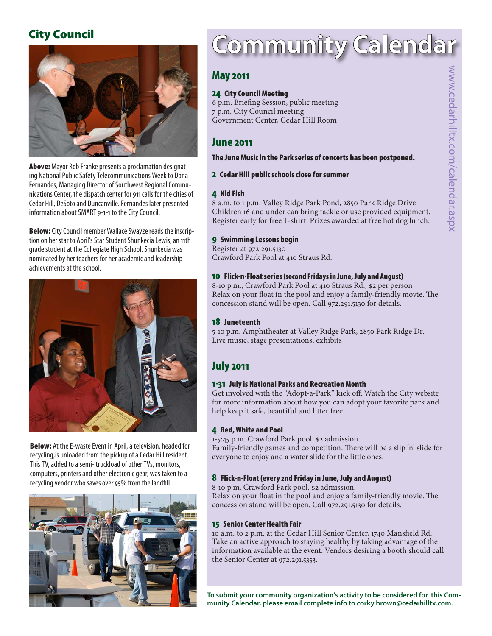## City Council



Above: Mayor Rob Franke presents a proclamation designating National Public Safety Telecommunications Week to Dona Fernandes, Managing Director of Southwest Regional Communications Center, the dispatch center for 911 calls for the cities of Cedar Hill, DeSoto and Duncanville. Fernandes later presented information about SMART 9-1-1 to the City Council.

**Below:** City Council member Wallace Swayze reads the inscription on her star to April's Star Student Shunkecia Lewis, an 11th grade student at the Collegiate High School. Shunkecia was nominated by her teachers for her academic and leadership achievements at the school.



Below: At the E-waste Event in April, a television, headed for recycling,is unloaded from the pickup of a Cedar Hill resident. This TV, added to a semi- truckload of other TVs, monitors, computers, printers and other electronic gear, was taken to a recycling vendor who saves over 95% from the landfill.



# Community Calendar

### May 2011

#### 24 City Council Meeting

6 p.m. Briefing Session, public meeting 7 p.m. City Council meeting Government Center, Cedar Hill Room

### June 2011

#### The June Music in the Park series of concerts has been postponed.

#### 2 Cedar Hill public schools close for summer

#### 4 Kid Fish

8 a.m. to 1 p.m. Valley Ridge Park Pond, 2850 Park Ridge Drive Children 16 and under can bring tackle or use provided equipment. Register early for free T-shirt. Prizes awarded at free hot dog lunch.

#### 9 Swimming Lessons begin

Register at 972.291.5130 Crawford Park Pool at 410 Straus Rd.

#### 10 Flick-n-Float series (second Fridays in June, July and August)

8-10 p.m., Crawford Park Pool at 410 Straus Rd., \$2 per person Relax on your float in the pool and enjoy a family-friendly movie. The concession stand will be open. Call 972.291.5130 for details.

#### 18 Juneteenth

5-10 p.m. Amphitheater at Valley Ridge Park, 2850 Park Ridge Dr. Live music, stage presentations, exhibits

## July 2011

#### 1-31 July is National Parks and Recreation Month

Get involved with the "Adopt-a-Park" kick off. Watch the City website for more information about how you can adopt your favorite park and help keep it safe, beautiful and litter free.

#### 4 Red, White and Pool

1-5:45 p.m. Crawford Park pool. \$2 admission. Family-friendly games and competition. There will be a slip 'n' slide for everyone to enjoy and a water slide for the little ones.

#### 8 Flick-n-Float (every 2nd Friday in June, July and August)

8-10 p.m. Crawford Park pool. \$2 admission. Relax on your float in the pool and enjoy a family-friendly movie. The concession stand will be open. Call 972.291.5130 for details.

#### 15 Senior Center Health Fair

10 a.m. to 2 p.m. at the Cedar Hill Senior Center, 1740 Mansfield Rd. Take an active approach to staying healthy by taking advantage of the information available at the event. Vendors desiring a booth should call the Senior Center at 972.291.5353. **May 2011**<br> **24 Care Coral Meeting**<br> **6 p.m. Driveing Season, public meeting**<br> **Coral meeting**<br> **Coral meeting Coral meeting**<br> **Coral meeting Coral meeting**<br> **Coral meeting Coral meeting Coral meeting Coral meeting Coral m** 

**To submit your community organization's activity to be considered for this Com-**